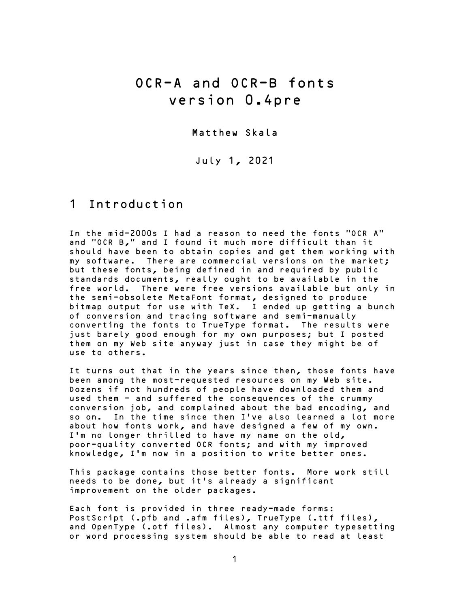# OCR-A and OCR-B fonts version 0.4pre

Matthew Skala

July 1, 2021

#### 1 Introduction

In the mid-2000s I had a reason to need the fonts "OCR A" and "OCR B," and I found it much more difficult than it should have been to obtain copies and get them working with my software. There are commercial versions on the market; but these fonts, being defined in and required by public standards documents, really ought to be available in the free world. There were free versions available but only in the semi-obsolete MetaFont format, designed to produce bitmap output for use with TeX. I ended up getting a bunch of conversion and tracing software and semi-manually converting the fonts to TrueType format. The results were just barely good enough for my own purposes; but I posted them on my Web site anyway just in case they might be of use to others.

It turns out that in the years since then, those fonts have been among the most-requested resources on my Web site. Dozens if not hundreds of people have downloaded them and used them - and suffered the consequences of the crummy conversion job, and complained about the bad encoding, and so on. In the time since then I've also learned a lot more about how fonts work, and have designed a few of my own. I'm no longer thrilled to have my name on the old, poor-quality converted OCR fonts; and with my improved knowledge, I'm now in a position to write better ones.

This package contains those better fonts. More work still needs to be done, but it's already a significant improvement on the older packages.

Each font is provided in three ready-made forms: PostScript (.pfb and .afm files), TrueType (.ttf files), and OpenType (.otf files). Almost any computer typesetting or word processing system should be able to read at least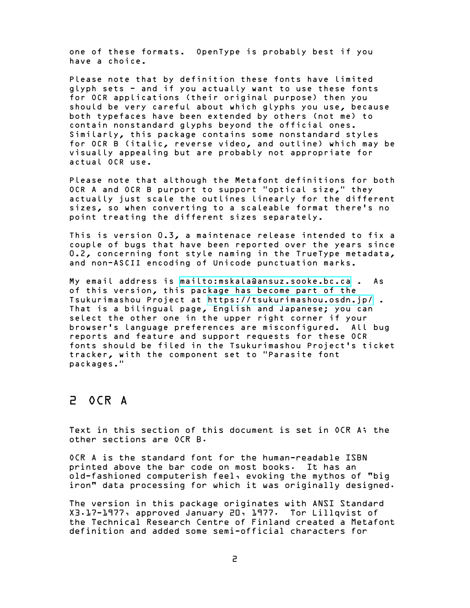one of these formats. OpenType is probably best if you have a choice.

Please note that by definition these fonts have limited glyph sets - and if you actually want to use these fonts for OCR applications (their original purpose) then you should be very careful about which glyphs you use, because both typefaces have been extended by others (not me) to contain nonstandard glyphs beyond the official ones. Similarly, this package contains some nonstandard styles for OCR B (italic, reverse video, and outline) which may be visually appealing but are probably not appropriate for actual OCR use.

Please note that although the Metafont definitions for both OCR A and OCR B purport to support "optical size," they actually just scale the outlines linearly for the different sizes, so when converting to a scaleable format there's no point treating the different sizes separately.

This is version 0.3, a maintenace release intended to fix a couple of bugs that have been reported over the years since 0.2, concerning font style naming in the TrueType metadata, and non-ASCII encoding of Unicode punctuation marks.

My email address is <mailto:mskala@ansuz.sooke.bc.ca> . As of this version, this package has become part of the Tsukurimashou Project at <https://tsukurimashou.osdn.jp/> . That is a bilingual page, English and Japanese; you can select the other one in the upper right corner if your browser's language preferences are misconfigured. All bug reports and feature and support requests for these OCR fonts should be filed in the Tsukurimashou Project's ticket tracker, with the component set to "Parasite font packages."

#### 2 OCR A

Text in this section of this document is set in OCR A; the other sections are OCR B.

OCR A is the standard font for the human-readable ISBN printed above the bar code on most books. It has an old-fashioned computerish feel, evoking the mythos of "big iron" data processing for which it was originally designed.

The version in this package originates with ANSI Standard X3.17-1977, approved January 20, 1977. Tor Lillqvist of the Technical Research Centre of Finland created a Metafont definition and added some semi-official characters for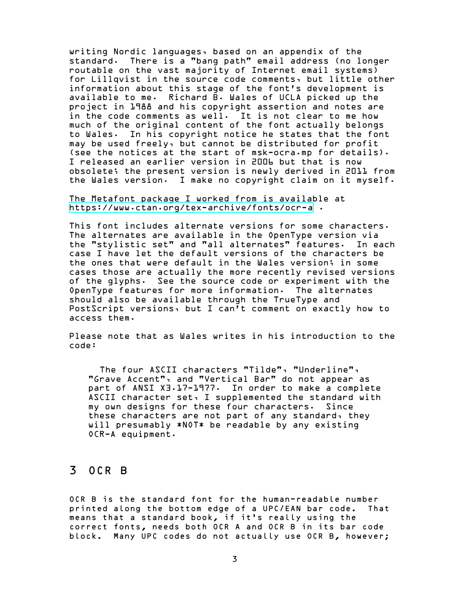writing Nordic languages, based on an appendix of the standard. There is a "bang path" email address (no longer routable on the vast majority of Internet email systems) for Lillqvist in the source code comments, but little other information about this stage of the font's development is available to me. Richard B. Wales of UCLA picked up the project in 1988 and his copyright assertion and notes are in the code comments as well. It is not clear to me how much of the original content of the font actually belongs to Wales. In his copyright notice he states that the font may be used freely, but cannot be distributed for profit (see the notices at the start of msk-ocra.mp for details). I released an earlier version in 2006 but that is now obsolete; the present version is newly derived in 2011 from the Wales version. I make no copyright claim on it myself.

The Metafont package I worked from is available at <https://www.ctan.org/tex-archive/fonts/ocr-a> .

This font includes alternate versions for some characters. The alternates are available in the OpenType version via the "stylistic set" and "all alternates" features. In each case I have let the default versions of the characters be the ones that were default in the Wales version; in some cases those are actually the more recently revised versions of the glyphs. See the source code or experiment with the OpenType features for more information. The alternates should also be available through the TrueType and PostScript versions, but I can't comment on exactly how to access them.

Please note that as Wales writes in his introduction to the code:

The four ASCII characters "Tilde", "Underline", "Grave Accent", and "Vertical Bar" do not appear as part of ANSI X3.17-1977. In order to make a complete ASCII character set, I supplemented the standard with my own designs for these four characters. Since these characters are not part of any standard, they will presumably \*NOT\* be readable by any existing OCR-A equipment.

#### 3 OCR B

OCR B is the standard font for the human-readable number printed along the bottom edge of a UPC/EAN bar code. That means that a standard book, if it's really using the correct fonts, needs both OCR A and OCR B in its bar code block. Many UPC codes do not actually use OCR B, however;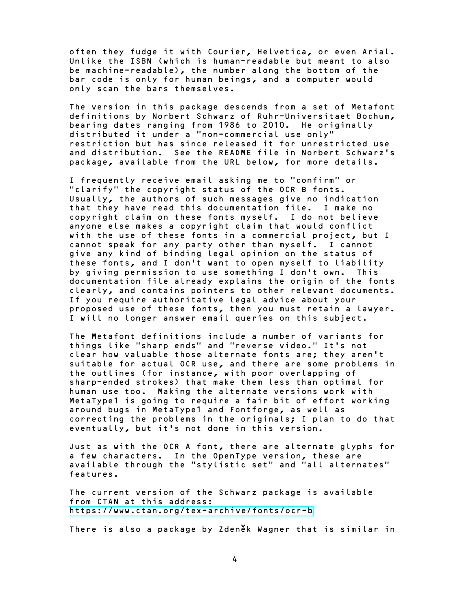often they fudge it with Courier, Helvetica, or even Arial. Unlike the ISBN (which is human-readable but meant to also be machine-readable), the number along the bottom of the bar code is only for human beings, and a computer would only scan the bars themselves.

The version in this package descends from a set of Metafont definitions by Norbert Schwarz of Ruhr-Universitaet Bochum, bearing dates ranging from 1986 to 2010. He originally distributed it under a "non-commercial use only" restriction but has since released it for unrestricted use and distribution. See the README file in Norbert Schwarz's package, available from the URL below, for more details.

I frequently receive email asking me to "confirm" or "clarify" the copyright status of the OCR B fonts. Usually, the authors of such messages give no indication that they have read this documentation file. I make no copyright claim on these fonts myself. I do not believe anyone else makes a copyright claim that would conflict with the use of these fonts in a commercial project, but I cannot speak for any party other than myself. I cannot give any kind of binding legal opinion on the status of these fonts, and I don't want to open myself to liability by giving permission to use something I don't own. This documentation file already explains the origin of the fonts clearly, and contains pointers to other relevant documents. If you require authoritative legal advice about your proposed use of these fonts, then you must retain a lawyer. I will no longer answer email queries on this subject.

The Metafont definitions include a number of variants for things like "sharp ends" and "reverse video." It's not clear how valuable those alternate fonts are; they aren't suitable for actual OCR use, and there are some problems in the outlines (for instance, with poor overlapping of sharp-ended strokes) that make them less than optimal for human use too. Making the alternate versions work with MetaType1 is going to require a fair bit of effort working around bugs in MetaType1 and Fontforge, as well as correcting the problems in the originals; I plan to do that eventually, but it's not done in this version.

Just as with the OCR A font, there are alternate glyphs for a few characters. In the OpenType version, these are available through the "stylistic set" and "all alternates" features.

The current version of the Schwarz package is available from CTAN at this address: <https://www.ctan.org/tex-archive/fonts/ocr-b>

There is also a package by Zdeněk Wagner that is similar in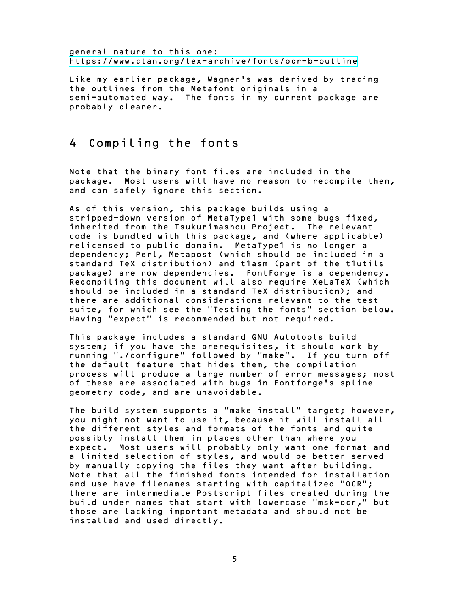general nature to this one: <https://www.ctan.org/tex-archive/fonts/ocr-b-outline>

Like my earlier package, Wagner's was derived by tracing the outlines from the Metafont originals in a semi-automated way. The fonts in my current package are probably cleaner.

### 4 Compiling the fonts

Note that the binary font files are included in the package. Most users will have no reason to recompile them, and can safely ignore this section.

As of this version, this package builds using a stripped-down version of MetaType1 with some bugs fixed, inherited from the Tsukurimashou Project. The relevant code is bundled with this package, and (where applicable) relicensed to public domain. MetaType1 is no longer a dependency; Perl, Metapost (which should be included in a standard TeX distribution) and t1asm (part of the t1utils package) are now dependencies. FontForge is a dependency. Recompiling this document will also require XeLaTeX (which should be included in a standard TeX distribution); and there are additional considerations relevant to the test suite, for which see the "Testing the fonts" section below. Having "expect" is recommended but not required.

This package includes a standard GNU Autotools build system; if you have the prerequisites, it should work by running "./configure" followed by "make". If you turn off the default feature that hides them, the compilation process will produce a large number of error messages; most of these are associated with bugs in Fontforge's spline geometry code, and are unavoidable.

The build system supports a "make install" target; however, you might not want to use it, because it will install all the different styles and formats of the fonts and quite possibly install them in places other than where you expect. Most users will probably only want one format and a limited selection of styles, and would be better served by manually copying the files they want after building. Note that all the finished fonts intended for installation and use have filenames starting with capitalized "OCR"; there are intermediate Postscript files created during the build under names that start with lowercase "msk-ocr," but those are lacking important metadata and should not be installed and used directly.